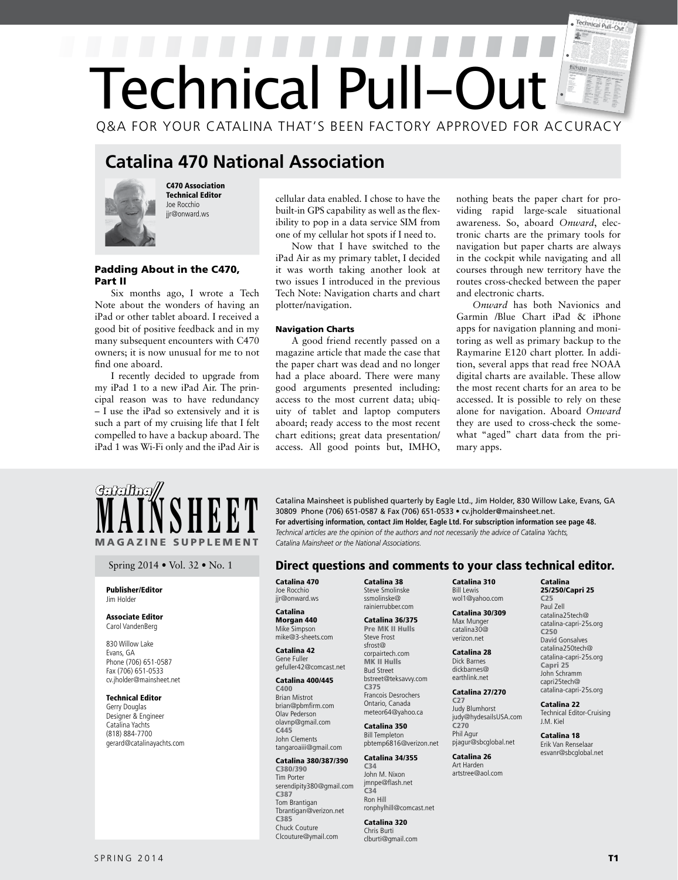# Technical Pull-Out  $\mathbb{F}$ Technical Pull-Ou Q&A FOR YOUR CATALINA THAT'S BEEN FACTORY APPROVED FOR ACCURACY

## **Catalina 470 National Association**



C470 Association Technical Editor Joe Rocchio jir@onward.ws

## Padding About in the C470, Part II

Six months ago, I wrote a Tech Note about the wonders of having an iPad or other tablet aboard. I received a good bit of positive feedback and in my many subsequent encounters with C470 owners; it is now unusual for me to not find one aboard.

I recently decided to upgrade from my iPad 1 to a new iPad Air. The principal reason was to have redundancy – I use the iPad so extensively and it is such a part of my cruising life that I felt compelled to have a backup aboard. The iPad 1 was Wi-Fi only and the iPad Air is cellular data enabled. I chose to have the built-in GPS capability as well as the flexibility to pop in a data service SIM from one of my cellular hot spots if I need to.

Now that I have switched to the iPad Air as my primary tablet, I decided it was worth taking another look at two issues I introduced in the previous Tech Note: Navigation charts and chart plotter/navigation.

## Navigation Charts

A good friend recently passed on a magazine article that made the case that the paper chart was dead and no longer had a place aboard. There were many good arguments presented including: access to the most current data; ubiquity of tablet and laptop computers aboard; ready access to the most recent chart editions; great data presentation/ access. All good points but, IMHO, nothing beats the paper chart for providing rapid large-scale situational awareness. So, aboard *Onward*, electronic charts are the primary tools for navigation but paper charts are always in the cockpit while navigating and all courses through new territory have the routes cross-checked between the paper and electronic charts.

*Onward* has both Navionics and Garmin /Blue Chart iPad & iPhone apps for navigation planning and monitoring as well as primary backup to the Raymarine E120 chart plotter. In addition, several apps that read free NOAA digital charts are available. These allow the most recent charts for an area to be accessed. It is possible to rely on these alone for navigation. Aboard *Onward* they are used to cross-check the somewhat "aged" chart data from the primary apps.



#### Publisher/Editor Jim Holder

## Associate Editor Carol VandenBerg

830 Willow Lake Evans, GA Phone (706) 651-0587 Fax (706) 651-0533 cv.jholder@mainsheet.net

## Technical Editor

Gerry Douglas Designer & Engineer Catalina Yachts (818) 884-7700 gerard@catalinayachts.com

**MAINSHEET** Catalina Mainsheet is published quarterly by Eagle Ltd., Jim Holder, 830 Willow Lake, Evans, GA<br>For advertising information, contact Jim Holder, Eagle Ltd. For subscription information see page 48.<br>Technical ar 30809 Phone (706) 651-0587 & Fax (706) 651-0533 • cv.jholder@mainsheet.net. **For advertising information, contact Jim Holder, Eagle Ltd. For subscription information see page 48.** *Technical articles are the opinion of the authors and not necessarily the advice of Catalina Yachts, Catalina Mainsheet or the National Associations.* 

## Spring 2014 • Vol. 32 • No. 1 **Direct questions and comments to your class technical editor.**

Catalina 470 Joe Rocchio jir@onward.ws

#### Catalina Morgan 440 Mike Simpson mike@3-sheets.com

Catalina 42 Gene Fuller gefuller42@comcast.net

## Catalina 400/445

C400 Brian Mistrot brian@pbmfirm.com Olav Pederson olavnp@gmail.com C445 John Clements tangaroaiii@gmail.com

## Catalina 380/387/390

C380/390 Tim Porter serendipity380@gmail.com C387 Tom Brantigan Tbrantigan@verizon.net C385 Chuck Couture Clcouture@ymail.com

Catalina 38 Steve Smolinske ssmolinske@ rainierrubber.com

#### Catalina 36/375 Pre MK II Hulls Steve Frost sfrost@ corpairtech.com

MK II Hulls Bud Street bstreet@teksavvy.com C375 Francois Desrochers Ontario, Canada meteor64@yahoo.ca

#### Catalina 350 Bill Templeton pbtemp6816@verizon.net

## Catalina 34/355

C34 John M. Nixon jmnpe@flash.net C34 Ron Hill ronphylhill@comcast.net

## Catalina 320

Chris Burti clburti@gmail.com

#### Catalina 310 Bill Lewis wol1@yahoo.com

 Catalina 30/309 Max Munger catalina30@ verizon.net

## Catalina 28 Dick Barnes dickbarnes@

earthlink.net Catalina 27/270

#### C27 Judy Blumhorst judy@hydesailsUSA.com C270 Phil Agur pjagur@sbcglobal.net

Catalina 26 Art Harden artstree@aol.com

#### Catalina 25/250/Capri 25 C25

Paul Zell catalina25tech@ catalina-capri-25s.org C250 David Gonsalves catalina250tech@ catalina-capri-25s.org Capri 25 John Schramm capri25tech@ catalina-capri-25s.org

#### Catalina 22 Technical Editor-Cruising J.M. Kiel

Catalina 18 Erik Van Renselaar esvanr@sbcglobal.net